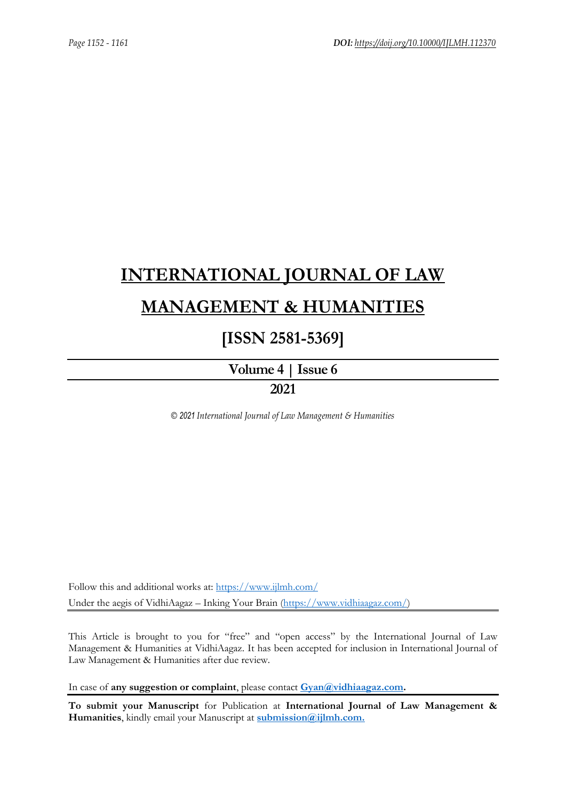# **[INTERNATIONAL JOURNAL OF LAW](https://www.ijlmh.com/)  [MANAGEMENT & HUMANITIES](https://www.ijlmh.com/)**

### **[ISSN 2581-5369]**

**[Volume 4 |](https://www.ijlmh.com/publications/volume-iv-issue-vi/) Issue 6**

### **2021**

*© 2021 International Journal of Law Management & Humanities*

Follow this and additional works at:<https://www.ijlmh.com/> Under the aegis of VidhiAagaz – Inking Your Brain [\(https://www.vidhiaagaz.com/\)](https://www.vidhiaagaz.com/)

This Article is brought to you for "free" and "open access" by the International Journal of Law Management & Humanities at VidhiAagaz. It has been accepted for inclusion in International Journal of Law Management & Humanities after due review.

In case of **any suggestion or complaint**, please contact **[Gyan@vidhiaagaz.com.](mailto:Gyan@vidhiaagaz.com)** 

**To submit your Manuscript** for Publication at **International Journal of Law Management & Humanities**, kindly email your Manuscript at **[submission@ijlmh.com.](mailto:submission@ijlmh.com)**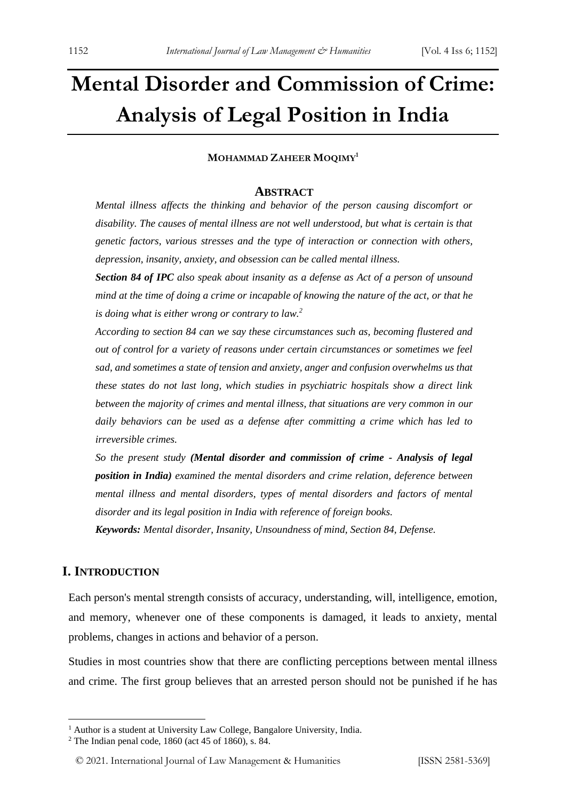## **Mental Disorder and Commission of Crime: Analysis of Legal Position in India**

#### **MOHAMMAD ZAHEER MOQIMY<sup>1</sup>**

#### **ABSTRACT**

*Mental illness affects the thinking and behavior of the person causing discomfort or disability. The causes of mental illness are not well understood, but what is certain is that genetic factors, various stresses and the type of interaction or connection with others, depression, insanity, anxiety, and obsession can be called mental illness.* 

*Section 84 of IPC also speak about insanity as a defense as Act of a person of unsound mind at the time of doing a crime or incapable of knowing the nature of the act, or that he is doing what is either wrong or contrary to law.<sup>2</sup>*

*According to section 84 can we say these circumstances such as, becoming flustered and out of control for a variety of reasons under certain circumstances or sometimes we feel sad, and sometimes a state of tension and anxiety, anger and confusion overwhelms us that these states do not last long, which studies in psychiatric hospitals show a direct link between the majority of crimes and mental illness, that situations are very common in our daily behaviors can be used as a defense after committing a crime which has led to irreversible crimes.*

*So the present study (Mental disorder and commission of crime - Analysis of legal position in India) examined the mental disorders and crime relation, deference between mental illness and mental disorders, types of mental disorders and factors of mental disorder and its legal position in India with reference of foreign books.* 

*Keywords: Mental disorder, Insanity, Unsoundness of mind, Section 84, Defense.*

#### **I. INTRODUCTION**

Each person's mental strength consists of accuracy, understanding, will, intelligence, emotion, and memory, whenever one of these components is damaged, it leads to anxiety, mental problems, changes in actions and behavior of a person.

Studies in most countries show that there are conflicting perceptions between mental illness and crime. The first group believes that an arrested person should not be punished if he has

<sup>&</sup>lt;sup>1</sup> Author is a student at University Law College, Bangalore University, India.

 $2$  The Indian penal code, 1860 (act 45 of 1860), s. 84.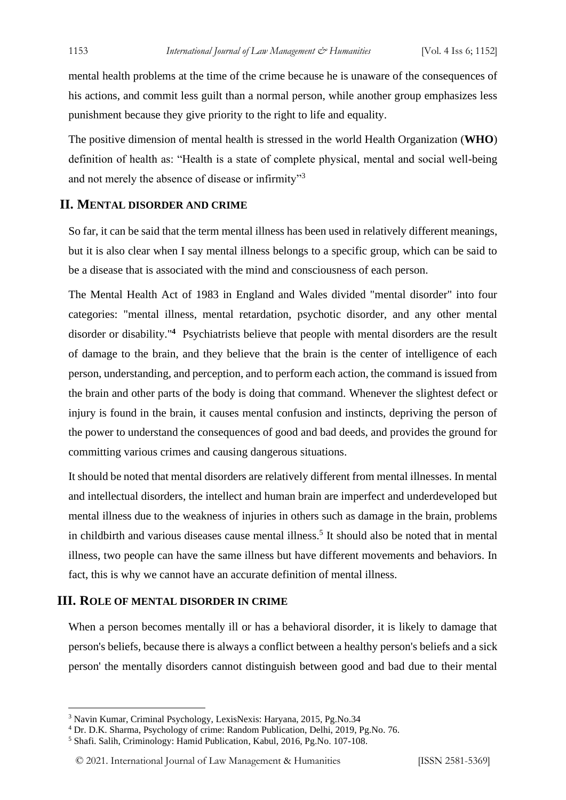mental health problems at the time of the crime because he is unaware of the consequences of his actions, and commit less guilt than a normal person, while another group emphasizes less punishment because they give priority to the right to life and equality.

The positive dimension of mental health is stressed in the world Health Organization (**WHO**) definition of health as: "Health is a state of complete physical, mental and social well-being and not merely the absence of disease or infirmity"<sup>3</sup>

#### **II. MENTAL DISORDER AND CRIME**

So far, it can be said that the term mental illness has been used in relatively different meanings, but it is also clear when I say mental illness belongs to a specific group, which can be said to be a disease that is associated with the mind and consciousness of each person.

The Mental Health Act of 1983 in England and Wales divided "mental disorder" into four categories: "mental illness, mental retardation, psychotic disorder, and any other mental disorder or disability."**<sup>4</sup>** Psychiatrists believe that people with mental disorders are the result of damage to the brain, and they believe that the brain is the center of intelligence of each person, understanding, and perception, and to perform each action, the command is issued from the brainand other parts of the body is doing that command. Whenever the slightest defect or injury is found in the brain, it causes mental confusion and instincts, depriving the person of the power to understand the consequences of good and bad deeds, and provides the ground for committing various crimes and causing dangerous situations.

It should be noted that mental disorders are relatively different from mental illnesses. In mental and intellectual disorders, the intellect and human brain are imperfect and underdeveloped but mental illness due to the weakness of injuries in others such as damage in the brain, problems in childbirth and various diseases cause mental illness.<sup>5</sup> It should also be noted that in mental illness, two people can have the same illness but have different movements and behaviors. In fact, this is why we cannot have an accurate definition of mental illness.

#### **III. ROLE OF MENTAL DISORDER IN CRIME**

When a person becomes mentally ill or has a behavioral disorder, it is likely to damage that person's beliefs, because there is always a conflict between a healthy person's beliefs and a sick person' the mentally disorders cannot distinguish between good and bad due to their mental

<sup>3</sup> Navin Kumar, Criminal Psychology, LexisNexis: Haryana, 2015, Pg.No.34

<sup>4</sup> Dr. D.K. Sharma, Psychology of crime: Random Publication, Delhi, 2019, Pg.No. 76.

<sup>5</sup> Shafi. Salih, Criminology: Hamid Publication, Kabul, 2016, Pg.No. 107-108.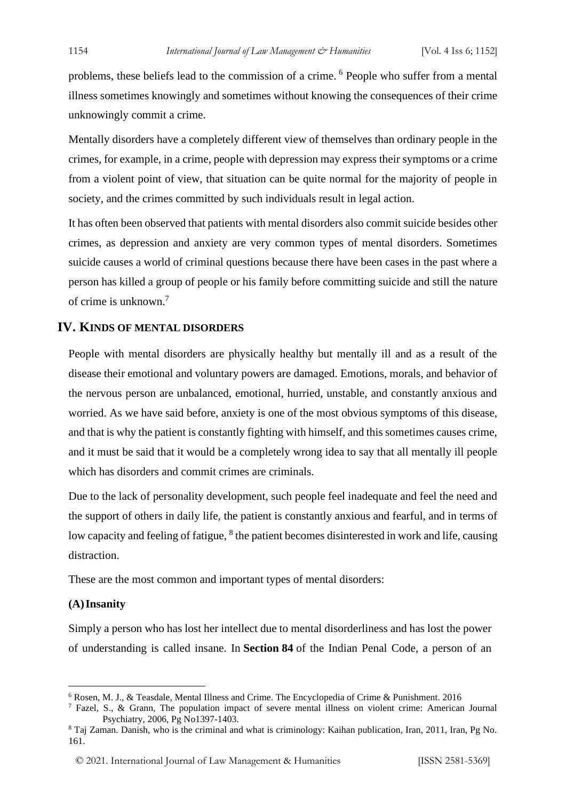problems, these beliefs lead to the commission of a crime. <sup>6</sup> People who suffer from a mental illness sometimes knowingly and sometimes without knowing the consequences of their crime unknowingly commit a crime.

Mentally disorders have a completely different view of themselves than ordinary people in the crimes, for example, in a crime, people with depression may express their symptoms or a crime from a violent point of view, that situation can be quite normal for the majority of people in society, and the crimes committed by such individuals result in legal action.

It has often been observed that patients with mental disorders also commit suicide besides other crimes, as depression and anxiety are very common types of mental disorders. Sometimes suicide causes a world of criminal questions because there have been cases in the past where a person has killed a group of people or his family before committing suicide and still the nature of crime is unknown.<sup>7</sup>

#### **IV. KINDS OF MENTAL DISORDERS**

People with mental disorders are physically healthy but mentally ill and as a result of the disease their emotional and voluntary powers are damaged. Emotions, morals, and behavior of the nervous person are unbalanced, emotional, hurried, unstable, and constantly anxious and worried. As we have said before, anxiety is one of the most obvious symptoms of this disease, and that is why the patient is constantly fighting with himself, and this sometimes causes crime, and it must be said that it would be a completely wrong idea to say that all mentally ill people which has disorders and commit crimes are criminals.

Due to the lack of personality development, such people feel inadequate and feel the need and the support of others in daily life, the patient is constantly anxious and fearful, and in terms of low capacity and feeling of fatigue, <sup>8</sup> the patient becomes disinterested in work and life, causing distraction.

These are the most common and important types of mental disorders:

#### **(A)Insanity**

Simply a person who has lost her intellect due to mental disorderliness and has lost the power of understanding is called insane. In **Section 84** of the Indian Penal Code, a person of an

<sup>6</sup> Rosen, M. J., & Teasdale, Mental Illness and Crime. The Encyclopedia of Crime & Punishment. 2016

<sup>7</sup> Fazel, S., & Grann, The population impact of severe mental illness on violent crime: American Journal Psychiatry, 2006, Pg No1397-1403.

<sup>8</sup> Taj Zaman. Danish, who is the criminal and what is criminology: Kaihan publication, Iran, 2011, Iran, Pg No. 161.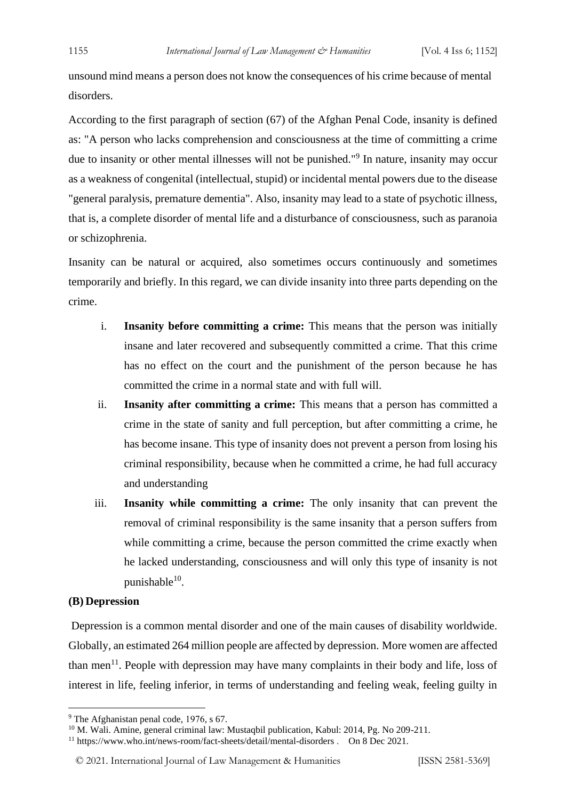unsound mind means a person does not know the consequences of his crime because of mental disorders.

According to the first paragraph of section (67) of the Afghan Penal Code, insanity is defined as: "A person who lacks comprehension and consciousness at the time of committing a crime due to insanity or other mental illnesses will not be punished."<sup>9</sup> In nature, insanity may occur as a weakness of congenital (intellectual, stupid) or incidental mental powers due to the disease "general paralysis, premature dementia". Also, insanity may lead to a state of psychotic illness, that is, a complete disorder of mental life and a disturbance of consciousness, such as paranoia or schizophrenia.

Insanity can be natural or acquired, also sometimes occurs continuously and sometimes temporarily and briefly. In this regard, we can divide insanity into three parts depending on the crime.

- i. **Insanity before committing a crime:** This means that the person was initially insane and later recovered and subsequently committed a crime. That this crime has no effect on the court and the punishment of the person because he has committed the crime in a normal state and with full will.
- ii. **Insanity after committing a crime:** This means that a person has committed a crime in the state of sanity and full perception, but after committing a crime, he has become insane. This type of insanity does not prevent a person from losing his criminal responsibility, because when he committed a crime, he had full accuracy and understanding
- iii. **Insanity while committing a crime:** The only insanity that can prevent the removal of criminal responsibility is the same insanity that a person suffers from while committing a crime, because the person committed the crime exactly when he lacked understanding, consciousness and will only this type of insanity is not punishable<sup>10</sup>.

#### **(B) Depression**

Depression is a common mental disorder and one of the main causes of disability worldwide. Globally, an estimated 264 million people are affected by depression. More women are affected than men<sup>11</sup>. People with depression may have many complaints in their body and life, loss of interest in life, feeling inferior, in terms of understanding and feeling weak, feeling guilty in

<sup>&</sup>lt;sup>9</sup> The Afghanistan penal code, 1976, s 67.

<sup>&</sup>lt;sup>10</sup> M. Wali. Amine, general criminal law: Mustaqbil publication, Kabul: 2014, Pg. No 209-211.

<sup>11</sup> https://www.who.int/news-room/fact-sheets/detail/mental-disorders . On 8 Dec 2021.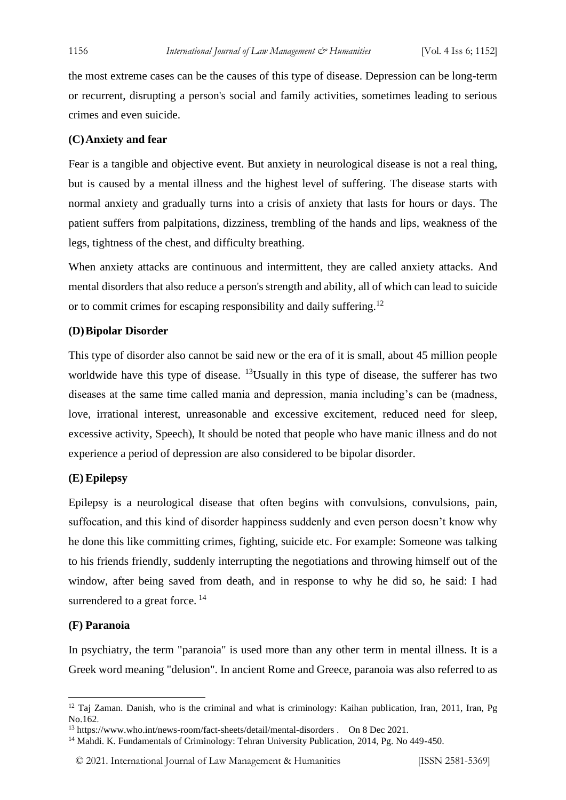the most extreme cases can be the causes of this type of disease. Depression can be long-term or recurrent, disrupting a person's social and family activities, sometimes leading to serious crimes and even suicide.

#### **(C)Anxiety and fear**

Fear is a tangible and objective event. But anxiety in neurological disease is not a real thing, but is caused by a mental illness and the highest level of suffering. The disease starts with normal anxiety and gradually turns into a crisis of anxiety that lasts for hours or days. The patient suffers from palpitations, dizziness, trembling of the hands and lips, weakness of the legs, tightness of the chest, and difficulty breathing.

When anxiety attacks are continuous and intermittent, they are called anxiety attacks. And mental disorders that also reduce a person's strength and ability, all of which can lead to suicide or to commit crimes for escaping responsibility and daily suffering.<sup>12</sup>

#### **(D)Bipolar Disorder**

This type of disorder also cannot be said new or the era of it is small, about 45 million people worldwide have this type of disease. <sup>13</sup>Usually in this type of disease, the sufferer has two diseases at the same time called mania and depression, mania including's can be (madness, love, irrational interest, unreasonable and excessive excitement, reduced need for sleep, excessive activity, Speech), It should be noted that people who have manic illness and do not experience a period of depression are also considered to be bipolar disorder.

#### **(E) Epilepsy**

Epilepsy is a neurological disease that often begins with convulsions, convulsions, pain, suffocation, and this kind of disorder happiness suddenly and even person doesn't know why he done this like committing crimes, fighting, suicide etc. For example: Someone was talking to his friends friendly, suddenly interrupting the negotiations and throwing himself out of the window, after being saved from death, and in response to why he did so, he said: I had surrendered to a great force.<sup>14</sup>

#### **(F) Paranoia**

In psychiatry, the term "paranoia" is used more than any other term in mental illness. It is a Greek word meaning "delusion". In ancient Rome and Greece, paranoia was also referred to as

<sup>&</sup>lt;sup>12</sup> Taj Zaman. Danish, who is the criminal and what is criminology: Kaihan publication, Iran, 2011, Iran, Pg No.162.

<sup>13</sup> https://www.who.int/news-room/fact-sheets/detail/mental-disorders . On 8 Dec 2021.

<sup>&</sup>lt;sup>14</sup> Mahdi. K. Fundamentals of Criminology: Tehran University Publication, 2014, Pg. No 449-450.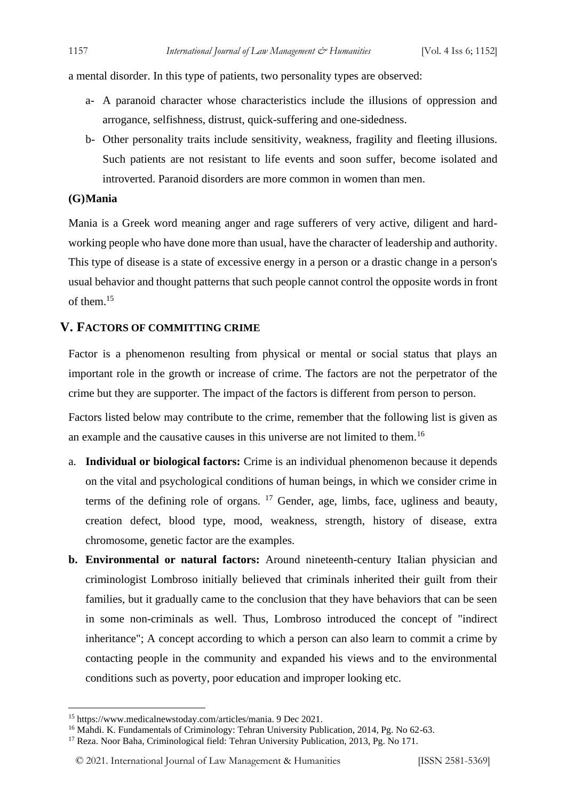a mental disorder. In this type of patients, two personality types are observed:

- a- A paranoid character whose characteristics include the illusions of oppression and arrogance, selfishness, distrust, quick-suffering and one-sidedness.
- b- Other personality traits include sensitivity, weakness, fragility and fleeting illusions. Such patients are not resistant to life events and soon suffer, become isolated and introverted. Paranoid disorders are more common in women than men.

#### **(G)Mania**

Mania is a Greek word meaning anger and rage sufferers of very active, diligent and hardworking people who have done more than usual, have the character of leadership and authority. This type of disease is a state of excessive energy in a person or a drastic change in a person's usual behavior and thought patterns that such people cannot control the opposite words in front of them.<sup>15</sup>

#### **V. FACTORS OF COMMITTING CRIME**

Factor is a phenomenon resulting from physical or mental or social status that plays an important role in the growth or increase of crime. The factors are not the perpetrator of the crime but they are supporter. The impact of the factors is different from person to person.

Factors listed below may contribute to the crime, remember that the following list is given as an example and the causative causes in this universe are not limited to them.<sup>16</sup>

- a. **Individual or biological factors:** Crime is an individual phenomenon because it depends on the vital and psychological conditions of human beings, in which we consider crime in terms of the defining role of organs.  $17$  Gender, age, limbs, face, ugliness and beauty, creation defect, blood type, mood, weakness, strength, history of disease, extra chromosome, genetic factor are the examples.
- **b. Environmental or natural factors:** Around nineteenth-century Italian physician and criminologist Lombroso initially believed that criminals inherited their guilt from their families, but it gradually came to the conclusion that they have behaviors that can be seen in some non-criminals as well. Thus, Lombroso introduced the concept of "indirect inheritance"; A concept according to which a person can also learn to commit a crime by contacting people in the community and expanded his views and to the environmental conditions such as poverty, poor education and improper looking etc.

<sup>15</sup> https://www.medicalnewstoday.com/articles/mania. 9 Dec 2021.

<sup>&</sup>lt;sup>16</sup> Mahdi. K. Fundamentals of Criminology: Tehran University Publication, 2014, Pg. No 62-63.

<sup>17</sup> Reza. Noor Baha, Criminological field: Tehran University Publication, 2013, Pg. No 171.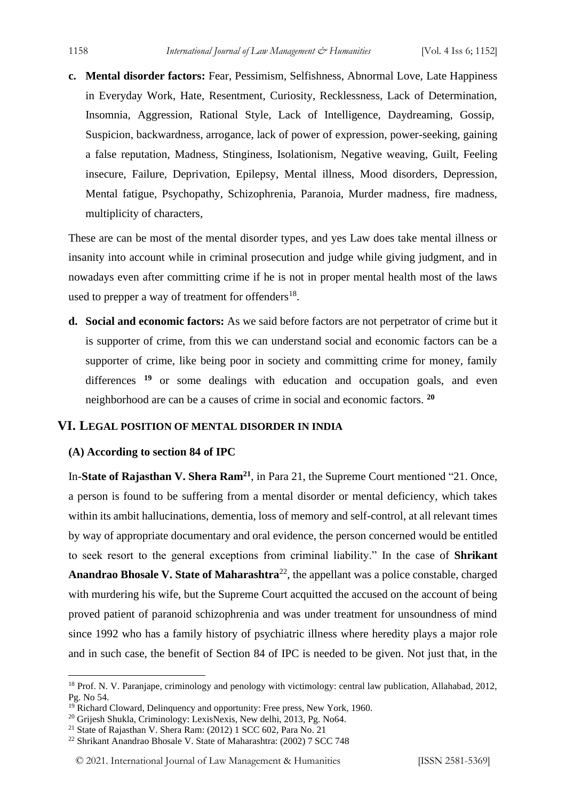**c. Mental disorder factors:** Fear, Pessimism, Selfishness, Abnormal Love, Late Happiness in Everyday Work, Hate, Resentment, Curiosity, Recklessness, Lack of Determination, Insomnia, Aggression, Rational Style, Lack of Intelligence, Daydreaming, Gossip, Suspicion, backwardness, arrogance, lack of power of expression, power-seeking, gaining a false reputation, Madness, Stinginess, Isolationism, Negative weaving, Guilt, Feeling insecure, Failure, Deprivation, Epilepsy, Mental illness, Mood disorders, Depression, Mental fatigue, Psychopathy, Schizophrenia, Paranoia, Murder madness, fire madness, multiplicity of characters,

These are can be most of the mental disorder types, and yes Law does take mental illness or insanity into account while in criminal prosecution and judge while giving judgment, and in nowadays even after committing crime if he is not in proper mental health most of the laws used to prepper a way of treatment for offenders $^{18}$ .

**d. Social and economic factors:** As we said before factors are not perpetrator of crime but it is supporter of crime, from this we can understand social and economic factors can be a supporter of crime, like being poor in society and committing crime for money, family differences <sup>19</sup> or some dealings with education and occupation goals, and even neighborhood are can be a causes of crime in social and economic factors. **<sup>20</sup>**

#### **VI. LEGAL POSITION OF MENTAL DISORDER IN INDIA**

#### **(A) According to section 84 of IPC**

In-**State of Rajasthan V. Shera Ram<sup>21</sup>**, in Para 21, the Supreme Court mentioned "21. Once, a person is found to be suffering from a mental disorder or mental deficiency, which takes within its ambit hallucinations, dementia, loss of memory and self-control, at all relevant times by way of appropriate documentary and oral evidence, the person concerned would be entitled to seek resort to the general exceptions from criminal liability." In the case of **Shrikant**  Anandrao Bhosale V. State of Maharashtra<sup>22</sup>, the appellant was a police constable, charged with murdering his wife, but the Supreme Court acquitted the accused on the account of being proved patient of paranoid schizophrenia and was under treatment for unsoundness of mind since 1992 who has a family history of psychiatric illness where heredity plays a major role and in such case, the benefit of Section 84 of IPC is needed to be given. Not just that, in the

<sup>&</sup>lt;sup>18</sup> Prof. N. V. Paranjape, criminology and penology with victimology: central law publication, Allahabad, 2012, Pg. No 54.

 $19$  Richard Cloward, Delinquency and opportunity: Free press, New York, 1960.

<sup>&</sup>lt;sup>20</sup> Grijesh Shukla, Criminology: LexisNexis, New delhi, 2013, Pg. No64.

<sup>21</sup> State of Rajasthan V. Shera Ram: (2012) 1 SCC 602, Para No. 21

<sup>22</sup> Shrikant Anandrao Bhosale V. State of Maharashtra: (2002) 7 SCC 748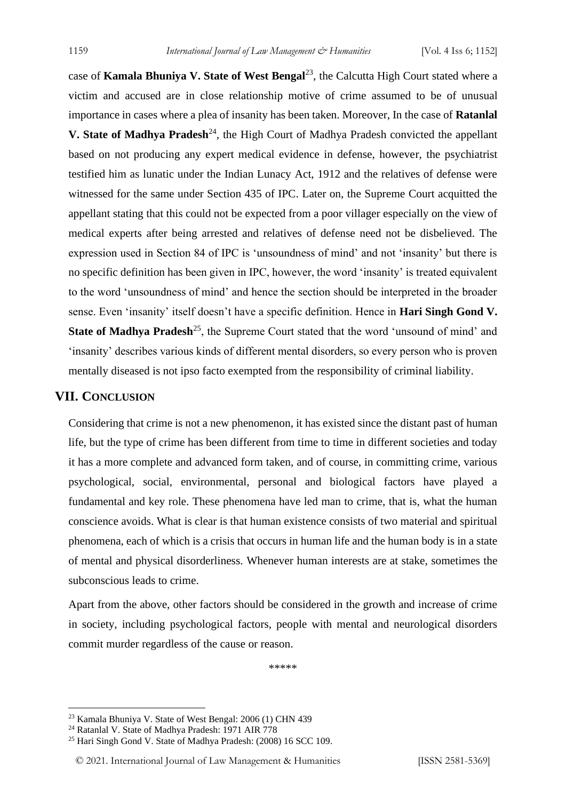case of **Kamala Bhuniya V. State of West Bengal**<sup>23</sup>, the Calcutta High Court stated where a victim and accused are in close relationship motive of crime assumed to be of unusual importance in cases where a plea of insanity has been taken. Moreover, In the case of **Ratanlal V. State of Madhya Pradesh**<sup>24</sup>, the High Court of Madhya Pradesh convicted the appellant based on not producing any expert medical evidence in defense, however, the psychiatrist testified him as lunatic under the Indian Lunacy Act, 1912 and the relatives of defense were witnessed for the same under Section 435 of IPC. Later on, the Supreme Court acquitted the appellant stating that this could not be expected from a poor villager especially on the view of medical experts after being arrested and relatives of defense need not be disbelieved. The expression used in Section 84 of IPC is 'unsoundness of mind' and not 'insanity' but there is no specific definition has been given in IPC, however, the word 'insanity' is treated equivalent to the word 'unsoundness of mind' and hence the section should be interpreted in the broader sense. Even 'insanity' itself doesn't have a specific definition. Hence in **Hari Singh Gond V. State of Madhya Pradesh**<sup>25</sup>, the Supreme Court stated that the word 'unsound of mind' and 'insanity' describes various kinds of different mental disorders, so every person who is proven mentally diseased is not ipso facto exempted from the responsibility of criminal liability.

#### **VII. CONCLUSION**

Considering that crime is not a new phenomenon, it has existed since the distant past of human life, but the type of crime has been different from time to time in different societies and today it has a more complete and advanced form taken, and of course, in committing crime, various psychological, social, environmental, personal and biological factors have played a fundamental and key role. These phenomena have led man to crime, that is, what the human conscience avoids. What is clear is that human existence consists of two material and spiritual phenomena, each of which is a crisis that occurs in human life and the human body is in a state of mental and physical disorderliness. Whenever human interests are at stake, sometimes the subconscious leads to crime.

Apart from the above, other factors should be considered in the growth and increase of crime in society, including psychological factors, people with mental and neurological disorders commit murder regardless of the cause or reason.

\*\*\*\*\*

<sup>23</sup> Kamala Bhuniya V. State of West Bengal: 2006 (1) CHN 439

<sup>&</sup>lt;sup>24</sup> Ratanlal V. State of Madhya Pradesh: 1971 AIR 778

<sup>25</sup> Hari Singh Gond V. State of Madhya Pradesh: (2008) 16 SCC 109.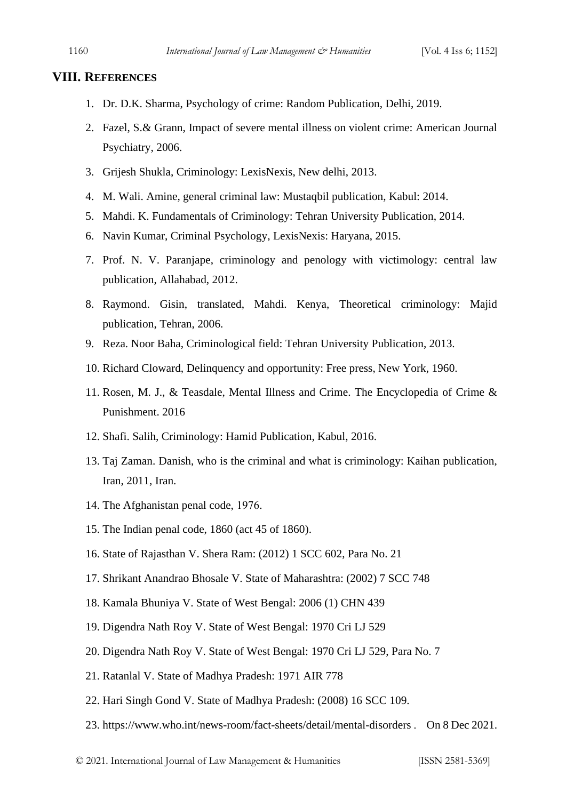#### **VIII. REFERENCES**

- 1. Dr. D.K. Sharma, Psychology of crime: Random Publication, Delhi, 2019.
- 2. Fazel, S.& Grann, Impact of severe mental illness on violent crime: American Journal Psychiatry, 2006.
- 3. Grijesh Shukla, Criminology: LexisNexis, New delhi, 2013.
- 4. M. Wali. Amine, general criminal law: Mustaqbil publication, Kabul: 2014.
- 5. Mahdi. K. Fundamentals of Criminology: Tehran University Publication, 2014.
- 6. Navin Kumar, Criminal Psychology, LexisNexis: Haryana, 2015.
- 7. Prof. N. V. Paranjape, criminology and penology with victimology: central law publication, Allahabad, 2012.
- 8. Raymond. Gisin, translated, Mahdi. Kenya, Theoretical criminology: Majid publication, Tehran, 2006.
- 9. Reza. Noor Baha, Criminological field: Tehran University Publication, 2013.
- 10. Richard Cloward, Delinquency and opportunity: Free press, New York, 1960.
- 11. Rosen, M. J., & Teasdale, Mental Illness and Crime. The Encyclopedia of Crime & Punishment. 2016
- 12. Shafi. Salih, Criminology: Hamid Publication, Kabul, 2016.
- 13. Taj Zaman. Danish, who is the criminal and what is criminology: Kaihan publication, Iran, 2011, Iran.
- 14. The Afghanistan penal code, 1976.
- 15. The Indian penal code, 1860 (act 45 of 1860).
- 16. State of Rajasthan V. Shera Ram: (2012) 1 SCC 602, Para No. 21
- 17. Shrikant Anandrao Bhosale V. State of Maharashtra: (2002) 7 SCC 748
- 18. Kamala Bhuniya V. State of West Bengal: 2006 (1) CHN 439
- 19. Digendra Nath Roy V. State of West Bengal: 1970 Cri LJ 529
- 20. Digendra Nath Roy V. State of West Bengal: 1970 Cri LJ 529, Para No. 7
- 21. Ratanlal V. State of Madhya Pradesh: 1971 AIR 778
- 22. Hari Singh Gond V. State of Madhya Pradesh: (2008) 16 SCC 109.
- 23. https://www.who.int/news-room/fact-sheets/detail/mental-disorders . On 8 Dec 2021.